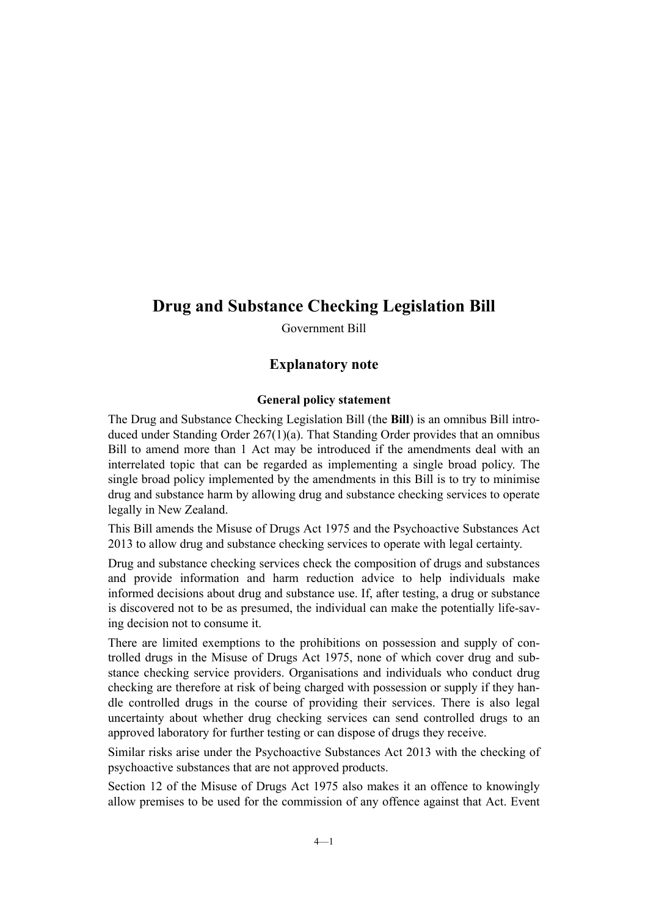# **Drug and Substance Checking Legislation Bill**

Government Bill

# **Explanatory note**

#### **General policy statement**

The Drug and Substance Checking Legislation Bill (the **Bill**) is an omnibus Bill introduced under Standing Order 267(1)(a). That Standing Order provides that an omnibus Bill to amend more than 1 Act may be introduced if the amendments deal with an interrelated topic that can be regarded as implementing a single broad policy. The single broad policy implemented by the amendments in this Bill is to try to minimise drug and substance harm by allowing drug and substance checking services to operate legally in New Zealand.

This Bill amends the Misuse of Drugs Act 1975 and the Psychoactive Substances Act 2013 to allow drug and substance checking services to operate with legal certainty.

Drug and substance checking services check the composition of drugs and substances and provide information and harm reduction advice to help individuals make informed decisions about drug and substance use. If, after testing, a drug or substance is discovered not to be as presumed, the individual can make the potentially life-saving decision not to consume it.

There are limited exemptions to the prohibitions on possession and supply of controlled drugs in the Misuse of Drugs Act 1975, none of which cover drug and substance checking service providers. Organisations and individuals who conduct drug checking are therefore at risk of being charged with possession or supply if they handle controlled drugs in the course of providing their services. There is also legal uncertainty about whether drug checking services can send controlled drugs to an approved laboratory for further testing or can dispose of drugs they receive.

Similar risks arise under the Psychoactive Substances Act 2013 with the checking of psychoactive substances that are not approved products.

Section 12 of the Misuse of Drugs Act 1975 also makes it an offence to knowingly allow premises to be used for the commission of any offence against that Act. Event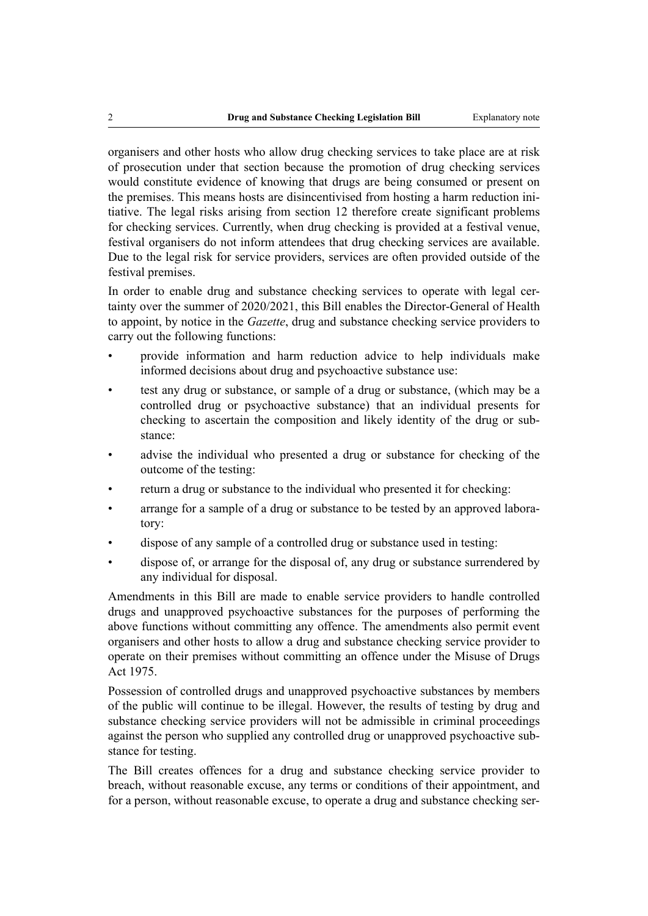organisers and other hosts who allow drug checking services to take place are at risk of prosecution under that section because the promotion of drug checking services would constitute evidence of knowing that drugs are being consumed or present on the premises. This means hosts are disincentivised from hosting a harm reduction initiative. The legal risks arising from section 12 therefore create significant problems for checking services. Currently, when drug checking is provided at a festival venue, festival organisers do not inform attendees that drug checking services are available. Due to the legal risk for service providers, services are often provided outside of the festival premises.

In order to enable drug and substance checking services to operate with legal certainty over the summer of 2020/2021, this Bill enables the Director-General of Health to appoint, by notice in the *Gazette*, drug and substance checking service providers to carry out the following functions:

- provide information and harm reduction advice to help individuals make informed decisions about drug and psychoactive substance use:
- test any drug or substance, or sample of a drug or substance, (which may be a controlled drug or psychoactive substance) that an individual presents for checking to ascertain the composition and likely identity of the drug or substance:
- advise the individual who presented a drug or substance for checking of the outcome of the testing:
- return a drug or substance to the individual who presented it for checking:
- arrange for a sample of a drug or substance to be tested by an approved laboratory:
- dispose of any sample of a controlled drug or substance used in testing:
- dispose of, or arrange for the disposal of, any drug or substance surrendered by any individual for disposal.

Amendments in this Bill are made to enable service providers to handle controlled drugs and unapproved psychoactive substances for the purposes of performing the above functions without committing any offence. The amendments also permit event organisers and other hosts to allow a drug and substance checking service provider to operate on their premises without committing an offence under the Misuse of Drugs Act 1975.

Possession of controlled drugs and unapproved psychoactive substances by members of the public will continue to be illegal. However, the results of testing by drug and substance checking service providers will not be admissible in criminal proceedings against the person who supplied any controlled drug or unapproved psychoactive substance for testing.

The Bill creates offences for a drug and substance checking service provider to breach, without reasonable excuse, any terms or conditions of their appointment, and for a person, without reasonable excuse, to operate a drug and substance checking ser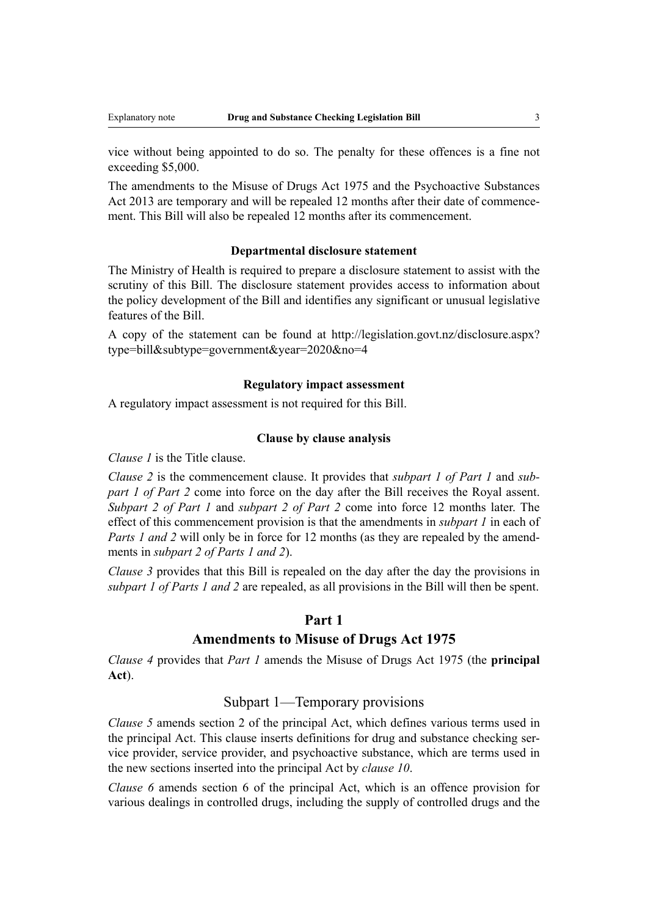vice without being appointed to do so. The penalty for these offences is a fine not exceeding \$5,000.

The amendments to the Misuse of Drugs Act 1975 and the Psychoactive Substances Act 2013 are temporary and will be repealed 12 months after their date of commencement. This Bill will also be repealed 12 months after its commencement.

#### **Departmental disclosure statement**

The Ministry of Health is required to prepare a disclosure statement to assist with the scrutiny of this Bill. The disclosure statement provides access to information about the policy development of the Bill and identifies any significant or unusual legislative features of the Bill.

A copy of the statement can be found at [http://legislation.govt.nz/disclosure.aspx?](http://legislation.govt.nz/disclosure.aspx?type=bill&subtype=government&year=2020&no=4) [type=bill&subtype=government&year=2020&no=4](http://legislation.govt.nz/disclosure.aspx?type=bill&subtype=government&year=2020&no=4)

#### **Regulatory impact assessment**

A regulatory impact assessment is not required for this Bill.

#### **Clause by clause analysis**

*Clause 1* is the Title clause.

*Clause 2* is the commencement clause. It provides that *subpart 1 of Part 1* and *subpart 1 of Part 2* come into force on the day after the Bill receives the Royal assent. *Subpart 2 of Part 1* and *subpart 2 of Part 2* come into force 12 months later. The effect of this commencement provision is that the amendments in *subpart 1* in each of *Parts 1 and 2* will only be in force for 12 months (as they are repealed by the amendments in *subpart 2 of Parts 1 and 2*).

*Clause 3* provides that this Bill is repealed on the day after the day the provisions in *subpart 1 of Parts 1 and 2* are repealed, as all provisions in the Bill will then be spent.

#### **Part 1**

#### **Amendments to Misuse of Drugs Act 1975**

*Clause 4* provides that *Part 1* amends the Misuse of Drugs Act 1975 (the **principal Act**).

#### Subpart 1—Temporary provisions

*Clause 5* amends section 2 of the principal Act, which defines various terms used in the principal Act. This clause inserts definitions for drug and substance checking service provider, service provider, and psychoactive substance, which are terms used in the new sections inserted into the principal Act by *clause 10*.

*Clause 6* amends section 6 of the principal Act, which is an offence provision for various dealings in controlled drugs, including the supply of controlled drugs and the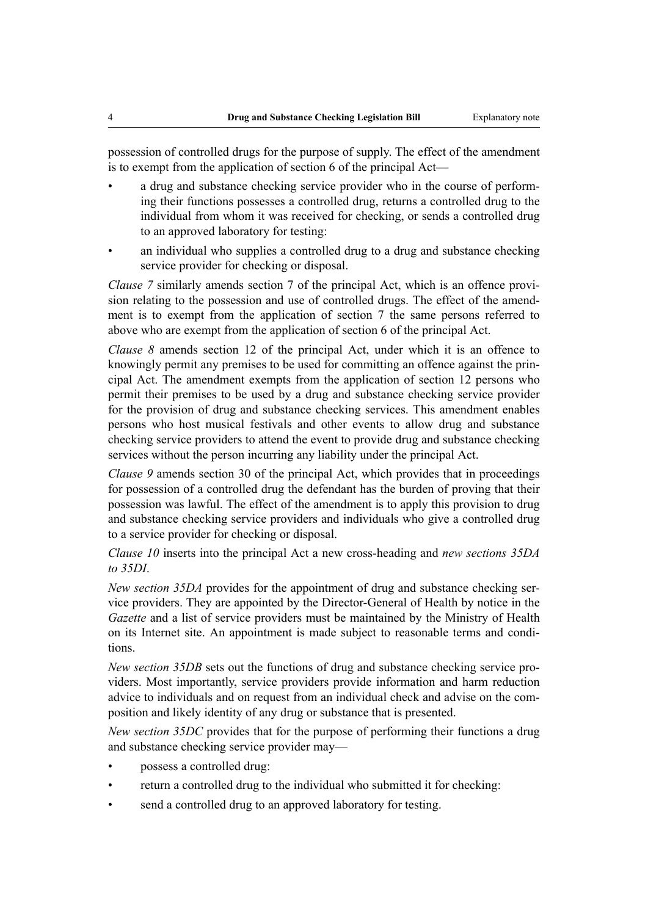possession of controlled drugs for the purpose of supply. The effect of the amendment is to exempt from the application of section 6 of the principal Act—

- a drug and substance checking service provider who in the course of performing their functions possesses a controlled drug, returns a controlled drug to the individual from whom it was received for checking, or sends a controlled drug to an approved laboratory for testing:
- an individual who supplies a controlled drug to a drug and substance checking service provider for checking or disposal.

*Clause 7* similarly amends section 7 of the principal Act, which is an offence provision relating to the possession and use of controlled drugs. The effect of the amendment is to exempt from the application of section 7 the same persons referred to above who are exempt from the application of section 6 of the principal Act.

*Clause 8* amends section 12 of the principal Act, under which it is an offence to knowingly permit any premises to be used for committing an offence against the principal Act. The amendment exempts from the application of section 12 persons who permit their premises to be used by a drug and substance checking service provider for the provision of drug and substance checking services. This amendment enables persons who host musical festivals and other events to allow drug and substance checking service providers to attend the event to provide drug and substance checking services without the person incurring any liability under the principal Act.

*Clause 9* amends section 30 of the principal Act, which provides that in proceedings for possession of a controlled drug the defendant has the burden of proving that their possession was lawful. The effect of the amendment is to apply this provision to drug and substance checking service providers and individuals who give a controlled drug to a service provider for checking or disposal.

*Clause 10* inserts into the principal Act a new cross-heading and *new sections 35DA to 35DI*.

*New section 35DA* provides for the appointment of drug and substance checking service providers. They are appointed by the Director-General of Health by notice in the *Gazette* and a list of service providers must be maintained by the Ministry of Health on its Internet site. An appointment is made subject to reasonable terms and conditions.

*New section 35DB* sets out the functions of drug and substance checking service providers. Most importantly, service providers provide information and harm reduction advice to individuals and on request from an individual check and advise on the composition and likely identity of any drug or substance that is presented.

*New section 35DC* provides that for the purpose of performing their functions a drug and substance checking service provider may—

- possess a controlled drug:
- return a controlled drug to the individual who submitted it for checking:
- send a controlled drug to an approved laboratory for testing.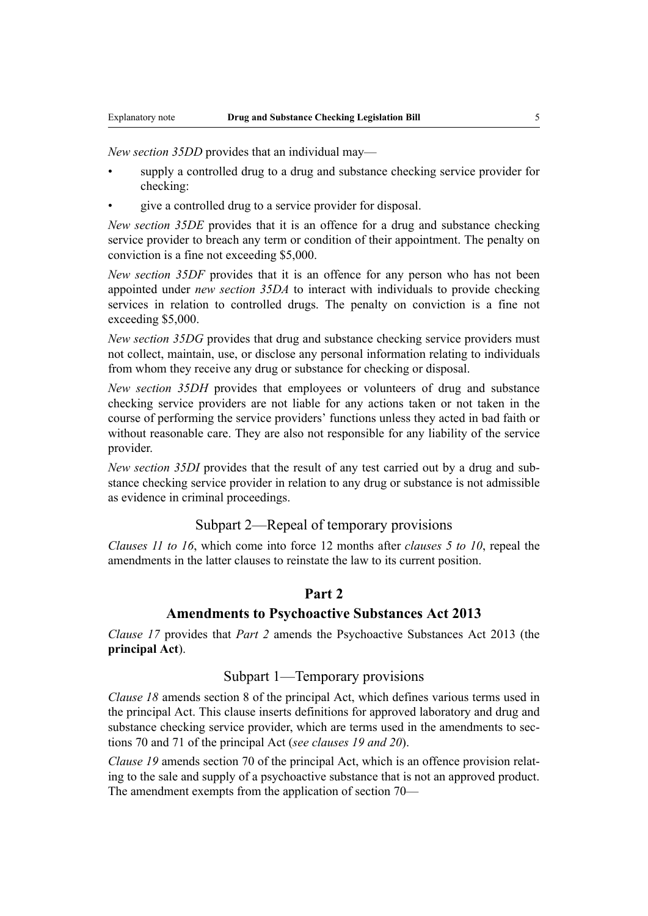*New section 35DD* provides that an individual may—

- supply a controlled drug to a drug and substance checking service provider for checking:
- give a controlled drug to a service provider for disposal.

*New section 35DE* provides that it is an offence for a drug and substance checking service provider to breach any term or condition of their appointment. The penalty on conviction is a fine not exceeding \$5,000.

*New section 35DF* provides that it is an offence for any person who has not been appointed under *new section 35DA* to interact with individuals to provide checking services in relation to controlled drugs. The penalty on conviction is a fine not exceeding \$5,000.

*New section 35DG* provides that drug and substance checking service providers must not collect, maintain, use, or disclose any personal information relating to individuals from whom they receive any drug or substance for checking or disposal.

*New section 35DH* provides that employees or volunteers of drug and substance checking service providers are not liable for any actions taken or not taken in the course of performing the service providers' functions unless they acted in bad faith or without reasonable care. They are also not responsible for any liability of the service provider.

*New section 35DI* provides that the result of any test carried out by a drug and substance checking service provider in relation to any drug or substance is not admissible as evidence in criminal proceedings.

# Subpart 2—Repeal of temporary provisions

*Clauses 11 to 16*, which come into force 12 months after *clauses 5 to 10*, repeal the amendments in the latter clauses to reinstate the law to its current position.

#### **Part 2**

#### **Amendments to Psychoactive Substances Act 2013**

*Clause 17* provides that *Part 2* amends the Psychoactive Substances Act 2013 (the **principal Act**).

#### Subpart 1—Temporary provisions

*Clause 18* amends section 8 of the principal Act, which defines various terms used in the principal Act. This clause inserts definitions for approved laboratory and drug and substance checking service provider, which are terms used in the amendments to sections 70 and 71 of the principal Act (*see clauses 19 and 20*).

*Clause 19* amends section 70 of the principal Act, which is an offence provision relating to the sale and supply of a psychoactive substance that is not an approved product. The amendment exempts from the application of section 70—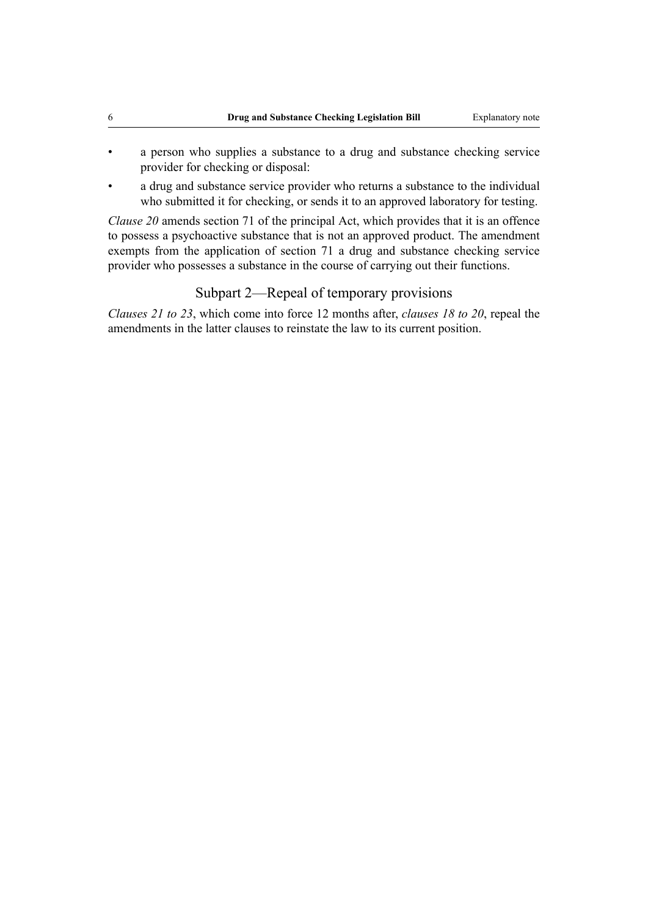- a person who supplies a substance to a drug and substance checking service provider for checking or disposal:
- a drug and substance service provider who returns a substance to the individual who submitted it for checking, or sends it to an approved laboratory for testing.

*Clause 20* amends section 71 of the principal Act, which provides that it is an offence to possess a psychoactive substance that is not an approved product. The amendment exempts from the application of section 71 a drug and substance checking service provider who possesses a substance in the course of carrying out their functions.

# Subpart 2—Repeal of temporary provisions

*Clauses 21 to 23*, which come into force 12 months after, *clauses 18 to 20*, repeal the amendments in the latter clauses to reinstate the law to its current position.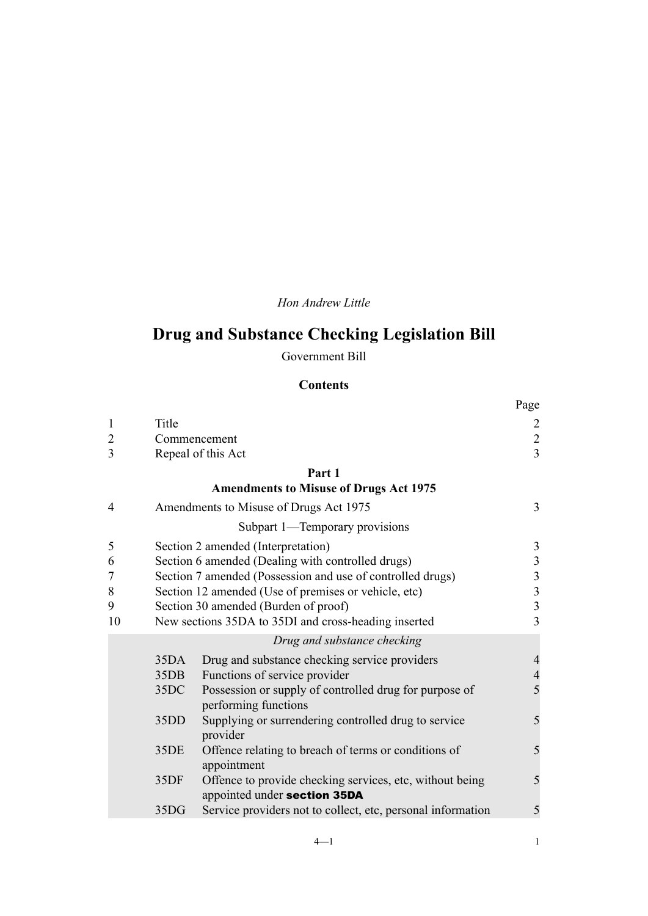*Hon Andrew Little*

# **Drug and Substance Checking Legislation Bill**

Government Bill

# **Contents**

|                |                  |                                                                                | Page           |
|----------------|------------------|--------------------------------------------------------------------------------|----------------|
| $\mathbf{1}$   | Title            |                                                                                | $\overline{2}$ |
| $\overline{2}$ |                  | Commencement                                                                   |                |
| 3              |                  | Repeal of this Act                                                             | $\frac{2}{3}$  |
|                |                  | Part 1                                                                         |                |
|                |                  | <b>Amendments to Misuse of Drugs Act 1975</b>                                  |                |
| $\overline{4}$ |                  | Amendments to Misuse of Drugs Act 1975                                         | 3              |
|                |                  | Subpart 1—Temporary provisions                                                 |                |
| 5              |                  | Section 2 amended (Interpretation)                                             | $\mathfrak{Z}$ |
| 6              |                  | Section 6 amended (Dealing with controlled drugs)                              | $\mathfrak{Z}$ |
| $\overline{7}$ |                  | Section 7 amended (Possession and use of controlled drugs)                     | $\mathfrak{Z}$ |
| 8              |                  | Section 12 amended (Use of premises or vehicle, etc)                           | $\mathfrak{Z}$ |
| 9              |                  | Section 30 amended (Burden of proof)                                           | $\overline{3}$ |
| 10             |                  | New sections 35DA to 35DI and cross-heading inserted                           | 3              |
|                |                  | Drug and substance checking                                                    |                |
|                | 35DA             | Drug and substance checking service providers                                  | $\overline{4}$ |
|                | 35 <sub>DB</sub> | Functions of service provider                                                  | $\overline{4}$ |
|                | 35DC             | Possession or supply of controlled drug for purpose of<br>performing functions | 5              |
|                | 35DD             | Supplying or surrendering controlled drug to service<br>provider               | 5              |
|                | 35DE             | Offence relating to breach of terms or conditions of<br>appointment            | 5              |
|                | 35DF             | Offence to provide checking services, etc, without being                       | 5              |
|                |                  | appointed under section 35DA                                                   |                |
|                | 35DG             | Service providers not to collect, etc, personal information                    | 5              |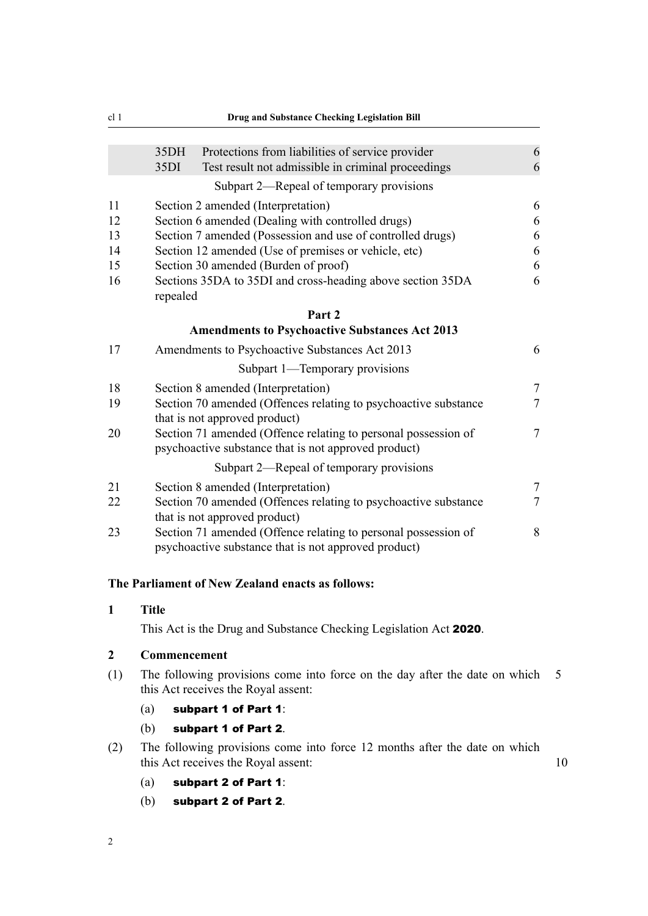<span id="page-7-0"></span>

| cl <sub>1</sub><br><b>Drug and Substance Checking Legislation Bill</b> |                                                                                                                                                                                                                                      |                                  |  |  |
|------------------------------------------------------------------------|--------------------------------------------------------------------------------------------------------------------------------------------------------------------------------------------------------------------------------------|----------------------------------|--|--|
|                                                                        | 35DH<br>Protections from liabilities of service provider<br>35DI<br>Test result not admissible in criminal proceedings                                                                                                               | 6<br>6                           |  |  |
|                                                                        | Subpart 2—Repeal of temporary provisions                                                                                                                                                                                             |                                  |  |  |
| 11<br>12                                                               | Section 2 amended (Interpretation)<br>Section 6 amended (Dealing with controlled drugs)                                                                                                                                              |                                  |  |  |
| 13<br>14<br>15<br>16                                                   | Section 7 amended (Possession and use of controlled drugs)<br>Section 12 amended (Use of premises or vehicle, etc)<br>Section 30 amended (Burden of proof)<br>Sections 35DA to 35DI and cross-heading above section 35DA<br>repealed | 6<br>6<br>6<br>6                 |  |  |
|                                                                        | Part 2                                                                                                                                                                                                                               |                                  |  |  |
|                                                                        | <b>Amendments to Psychoactive Substances Act 2013</b>                                                                                                                                                                                |                                  |  |  |
| 17                                                                     | Amendments to Psychoactive Substances Act 2013                                                                                                                                                                                       | 6                                |  |  |
|                                                                        | Subpart 1—Temporary provisions                                                                                                                                                                                                       |                                  |  |  |
| 18<br>19                                                               | Section 8 amended (Interpretation)<br>Section 70 amended (Offences relating to psychoactive substance<br>that is not approved product)                                                                                               | $\overline{7}$<br>$\overline{7}$ |  |  |
| 20                                                                     | Section 71 amended (Offence relating to personal possession of<br>psychoactive substance that is not approved product)                                                                                                               | $\overline{7}$                   |  |  |
|                                                                        | Subpart 2—Repeal of temporary provisions                                                                                                                                                                                             |                                  |  |  |
| 21                                                                     | Section 8 amended (Interpretation)                                                                                                                                                                                                   | $\overline{7}$                   |  |  |
| 22                                                                     | Section 70 amended (Offences relating to psychoactive substance<br>that is not approved product)                                                                                                                                     | $\overline{7}$                   |  |  |
| 23                                                                     | Section 71 amended (Offence relating to personal possession of<br>psychoactive substance that is not approved product)                                                                                                               | 8                                |  |  |

#### **The Parliament of New Zealand enacts as follows:**

### **1 Title**

This Act is the Drug and Substance Checking Legislation Act 2020.

### **2 Commencement**

- (1) The following provisions come into force on the day after the date on which 5 this Act receives the Royal assent:
	- (a) subpart 1 of Part 1:
	- (b) subpart 1 of Part 2.
- (2) The following provisions come into force 12 months after the date on which this Act receives the Royal assent: 10
	- (a) subpart 2 of Part 1:
	- (b) subpart 2 of Part 2.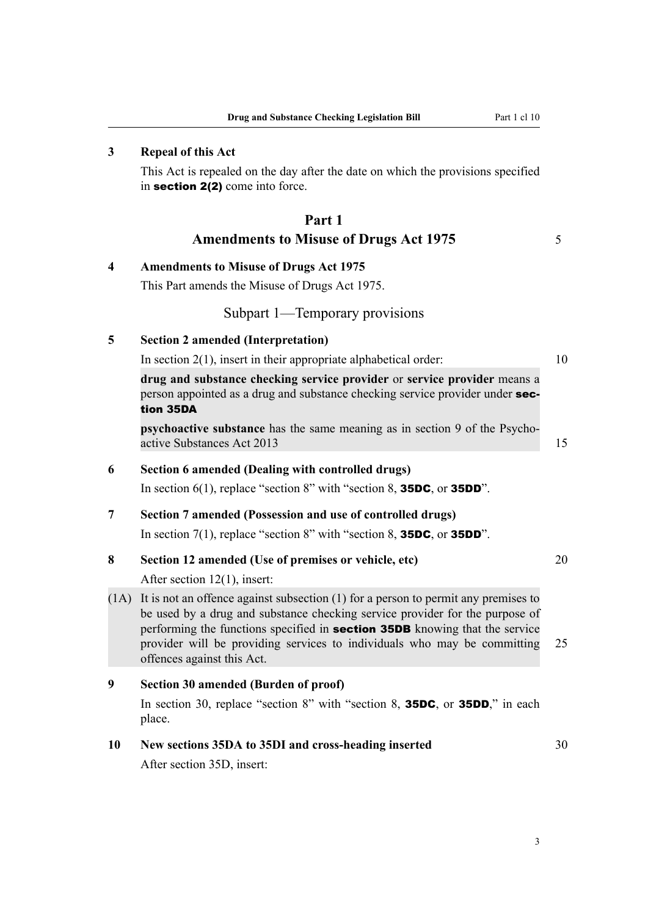### <span id="page-8-0"></span>**3 Repeal of this Act**

This Act is repealed on the day after the date on which the provisions specified in section 2(2) come into force.

# **Part 1 Amendments to Misuse of Drugs Act 1975** 5

#### **4 Amendments to Misuse of Drugs Act 1975**

This Part amends the Misuse of Drugs Act 1975.

#### Subpart 1—Temporary provisions

#### **5 Section 2 amended (Interpretation)**

In section  $2(1)$ , insert in their appropriate alphabetical order:  $10$ 

**drug and substance checking service provider** or **service provider** means a person appointed as a drug and substance checking service provider under section 35DA

**psychoactive substance** has the same meaning as in section 9 of the Psychoactive Substances Act 2013 15

#### **6 Section 6 amended (Dealing with controlled drugs)**

In section 6(1), replace "section 8" with "section 8, **35DC**, or **35DD**".

#### **7 Section 7 amended (Possession and use of controlled drugs)**

In section 7(1), replace "section 8" with "section 8, **35DC**, or **35DD**".

#### **8 Section 12 amended (Use of premises or vehicle, etc)** 20

After section 12(1), insert:

(1A) It is not an offence against subsection (1) for a person to permit any premises to be used by a drug and substance checking service provider for the purpose of performing the functions specified in section 35DB knowing that the service provider will be providing services to individuals who may be committing 25 offences against this Act.

#### **9 Section 30 amended (Burden of proof)**

In section 30, replace "section 8" with "section 8, **35DC**, or **35DD**," in each place.

#### **10 New sections 35DA to 35DI and cross-heading inserted** 30

After section 35D, insert:

3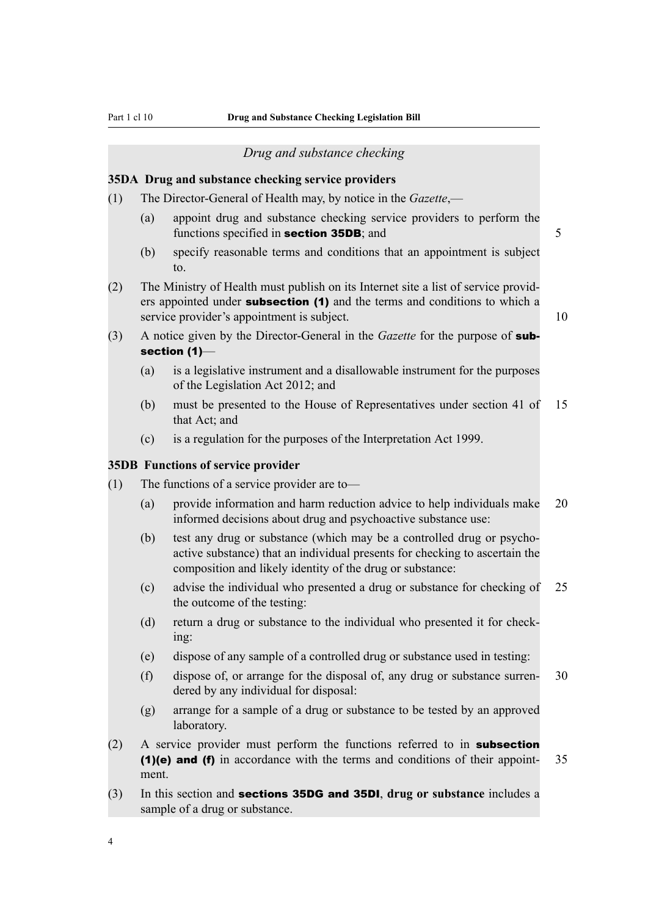#### *Drug and substance checking*

#### <span id="page-9-0"></span>**35DA Drug and substance checking service providers**

- (1) The Director-General of Health may, by notice in the *Gazette*,—
	- (a) appoint drug and substance checking service providers to perform the functions specified in **section 35DB**; and 5
	- (b) specify reasonable terms and conditions that an appointment is subject to.
- (2) The Ministry of Health must publish on its Internet site a list of service providers appointed under **subsection (1)** and the terms and conditions to which a service provider's appointment is subject. 10

- (3) A notice given by the Director-General in the *Gazette* for the purpose of subsection (1)—
	- (a) is a legislative instrument and a disallowable instrument for the purposes of the Legislation Act 2012; and
	- (b) must be presented to the House of Representatives under section 41 of 15 that Act; and
	- (c) is a regulation for the purposes of the Interpretation Act 1999.

#### **35DB Functions of service provider**

- (1) The functions of a service provider are to—
	- (a) provide information and harm reduction advice to help individuals make 20 informed decisions about drug and psychoactive substance use:
	- (b) test any drug or substance (which may be a controlled drug or psychoactive substance) that an individual presents for checking to ascertain the composition and likely identity of the drug or substance:
	- (c) advise the individual who presented a drug or substance for checking of 25 the outcome of the testing:
	- (d) return a drug or substance to the individual who presented it for checking:
	- (e) dispose of any sample of a controlled drug or substance used in testing:
	- (f) dispose of, or arrange for the disposal of, any drug or substance surren- 30 dered by any individual for disposal:
	- (g) arrange for a sample of a drug or substance to be tested by an approved laboratory.
- (2) A service provider must perform the functions referred to in subsection (1)(e) and (f) in accordance with the terms and conditions of their appoint- 35 ment.
- (3) In this section and sections 35DG and 35DI, **drug or substance** includes a sample of a drug or substance.

4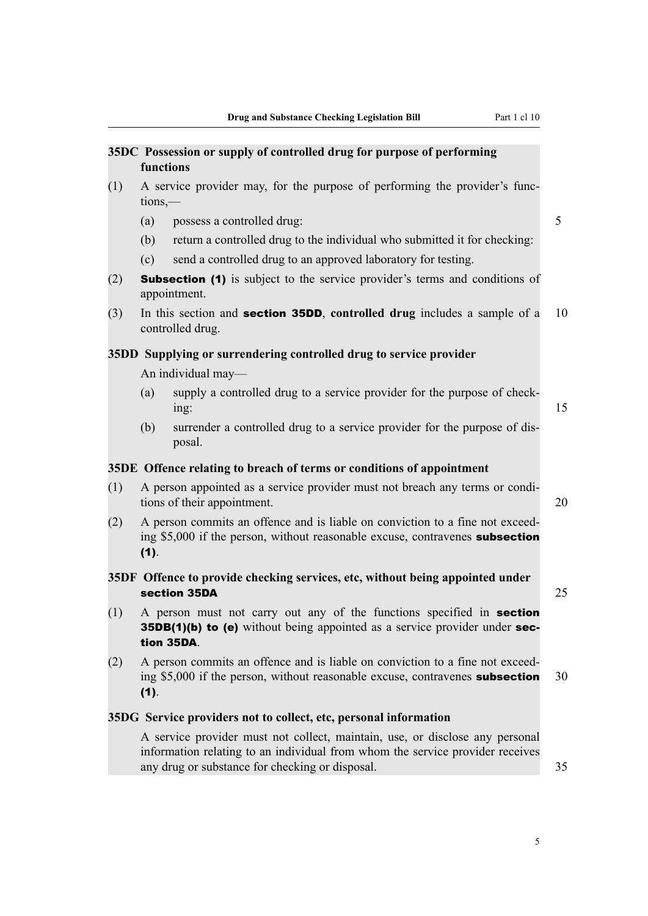<span id="page-10-0"></span>

|     |                                                                                                                                                                                       | 35DC Possession or supply of controlled drug for purpose of performing<br>functions                                                                           |    |  |
|-----|---------------------------------------------------------------------------------------------------------------------------------------------------------------------------------------|---------------------------------------------------------------------------------------------------------------------------------------------------------------|----|--|
| (1) | A service provider may, for the purpose of performing the provider's func-<br>$tions$ —                                                                                               |                                                                                                                                                               |    |  |
|     | (a)                                                                                                                                                                                   | possess a controlled drug:                                                                                                                                    | 5  |  |
|     | (b)                                                                                                                                                                                   | return a controlled drug to the individual who submitted it for checking:                                                                                     |    |  |
|     | (c)                                                                                                                                                                                   | send a controlled drug to an approved laboratory for testing.                                                                                                 |    |  |
| (2) |                                                                                                                                                                                       | <b>Subsection (1)</b> is subject to the service provider's terms and conditions of<br>appointment.                                                            |    |  |
| (3) | In this section and <b>section 35DD</b> , controlled drug includes a sample of a<br>controlled drug.                                                                                  |                                                                                                                                                               |    |  |
|     |                                                                                                                                                                                       | 35DD Supplying or surrendering controlled drug to service provider                                                                                            |    |  |
|     |                                                                                                                                                                                       | An individual may-                                                                                                                                            |    |  |
|     | (a)                                                                                                                                                                                   | supply a controlled drug to a service provider for the purpose of check-<br>ing:                                                                              |    |  |
|     | (b)                                                                                                                                                                                   | surrender a controlled drug to a service provider for the purpose of dis-<br>posal.                                                                           |    |  |
|     |                                                                                                                                                                                       | 35DE Offence relating to breach of terms or conditions of appointment                                                                                         |    |  |
| (1) | A person appointed as a service provider must not breach any terms or condi-<br>tions of their appointment.                                                                           |                                                                                                                                                               |    |  |
| (2) | A person commits an offence and is liable on conviction to a fine not exceed-<br>ing \$5,000 if the person, without reasonable excuse, contravenes subsection<br>$(1)$ .              |                                                                                                                                                               |    |  |
|     | 35DF Offence to provide checking services, etc, without being appointed under<br>section 35DA                                                                                         |                                                                                                                                                               | 25 |  |
|     | $(1)$ A person must not carry out any of the functions specified in <b>section</b><br><b>35DB(1)(b) to (e)</b> without being appointed as a service provider under sec-<br>tion 35DA. |                                                                                                                                                               |    |  |
| (2) | (1).                                                                                                                                                                                  | A person commits an offence and is liable on conviction to a fine not exceed-<br>ing \$5,000 if the person, without reasonable excuse, contravenes subsection | 30 |  |

# **35DG Service providers not to collect, etc, personal information**

A service provider must not collect, maintain, use, or disclose any personal information relating to an individual from whom the service provider receives any drug or substance for checking or disposal. 35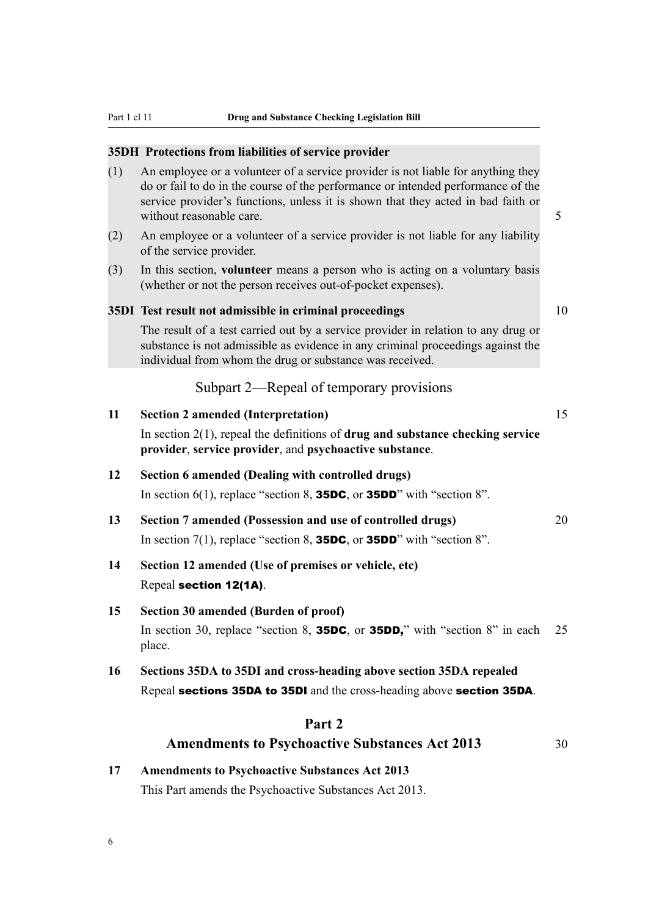#### <span id="page-11-0"></span>**35DH Protections from liabilities of service provider**

- (1) An employee or a volunteer of a service provider is not liable for anything they do or fail to do in the course of the performance or intended performance of the service provider's functions, unless it is shown that they acted in bad faith or without reasonable care.  $\sim$  5
- (2) An employee or a volunteer of a service provider is not liable for any liability of the service provider.
- (3) In this section, **volunteer** means a person who is acting on a voluntary basis (whether or not the person receives out-of-pocket expenses).

#### **35DI Test result not admissible in criminal proceedings** 10

The result of a test carried out by a service provider in relation to any drug or substance is not admissible as evidence in any criminal proceedings against the individual from whom the drug or substance was received.

# Subpart 2—Repeal of temporary provisions

| 11 | <b>Section 2 amended (Interpretation)</b>                                                                                                           | 15 |
|----|-----------------------------------------------------------------------------------------------------------------------------------------------------|----|
|    | In section $2(1)$ , repeal the definitions of <b>drug and substance checking service</b><br>provider, service provider, and psychoactive substance. |    |
| 12 | Section 6 amended (Dealing with controlled drugs)<br>In section 6(1), replace "section 8, <b>35DC</b> , or <b>35DD</b> " with "section 8".          |    |
| 13 | Section 7 amended (Possession and use of controlled drugs)<br>In section 7(1), replace "section 8, <b>35DC</b> , or <b>35DD</b> " with "section 8". | 20 |
| 14 | Section 12 amended (Use of premises or vehicle, etc)<br>Repeal section 12(1A).                                                                      |    |
| 15 | Section 30 amended (Burden of proof)<br>In section 30, replace "section 8, <b>35DC</b> , or <b>35DD</b> ," with "section 8" in each<br>place.       | 25 |
| 16 | Sections 35DA to 35DI and cross-heading above section 35DA repealed<br>Repeal sections 35DA to 35DI and the cross-heading above section 35DA.       |    |
|    | Part 2                                                                                                                                              |    |

# Amendments to Psychoactive Substances Act 2013 30

# **17 Amendments to Psychoactive Substances Act 2013** This Part amends the Psychoactive Substances Act 2013.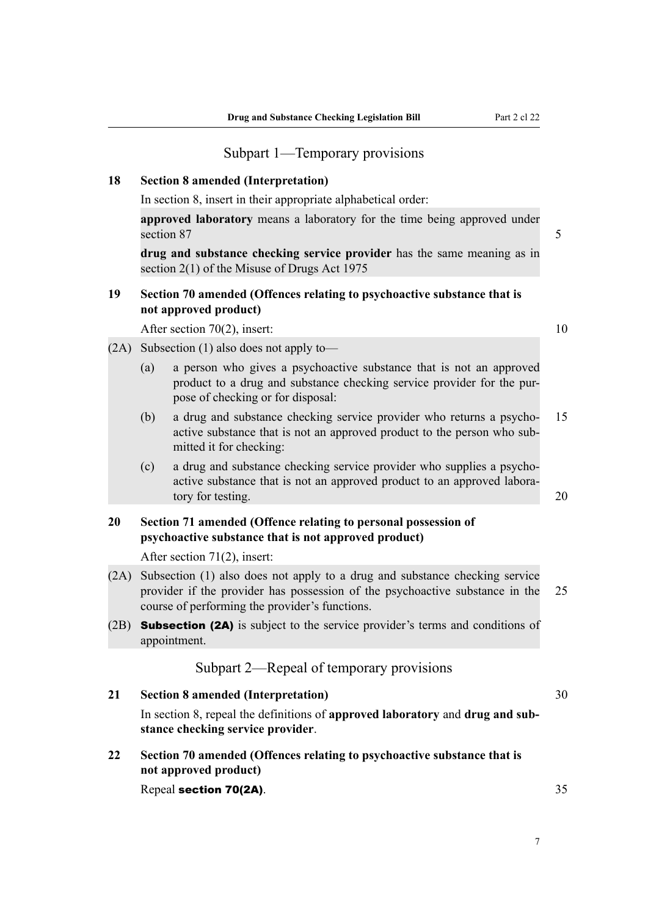#### Subpart 1—Temporary provisions

#### <span id="page-12-0"></span>**18 Section 8 amended (Interpretation)**

In section 8, insert in their appropriate alphabetical order:

**approved laboratory** means a laboratory for the time being approved under section 87 5

**drug and substance checking service provider** has the same meaning as in section 2(1) of the Misuse of Drugs Act 1975

# **19 Section 70 amended (Offences relating to psychoactive substance that is not approved product)**

After section 70(2), insert: 10

- (2A) Subsection (1) also does not apply to—
	- (a) a person who gives a psychoactive substance that is not an approved product to a drug and substance checking service provider for the purpose of checking or for disposal:
	- (b) a drug and substance checking service provider who returns a psycho- 15 active substance that is not an approved product to the person who submitted it for checking:
	- (c) a drug and substance checking service provider who supplies a psychoactive substance that is not an approved product to an approved laboratory for testing. 20

# **20 Section 71 amended (Offence relating to personal possession of psychoactive substance that is not approved product)**

After section 71(2), insert:

- (2A) Subsection (1) also does not apply to a drug and substance checking service provider if the provider has possession of the psychoactive substance in the 25 course of performing the provider's functions.
- (2B) **Subsection (2A)** is subject to the service provider's terms and conditions of appointment.

# Subpart 2—Repeal of temporary provisions

**21 Section 8 amended (Interpretation)** 30 In section 8, repeal the definitions of **approved laboratory** and **drug and substance checking service provider**.

**22 Section 70 amended (Offences relating to psychoactive substance that is not approved product)**

Repeal section 70(2A). 35

7